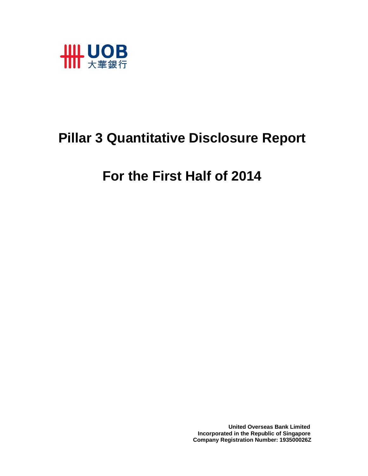

## **Pillar 3 Quantitative Disclosure Report**

# **For the First Half of 2014**

 **United Overseas Bank Limited Incorporated in the Republic of Singapore Company Registration Number: 193500026Z**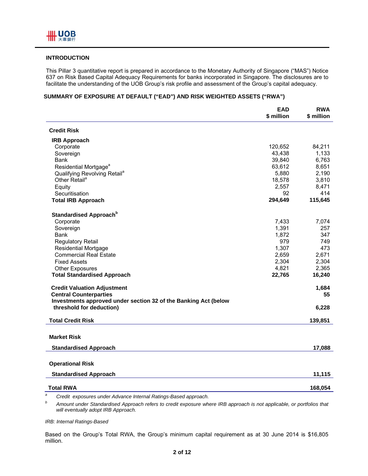#### **INTRODUCTION**

This Pillar 3 quantitative report is prepared in accordance to the Monetary Authority of Singapore ("MAS") Notice 637 on Risk Based Capital Adequacy Requirements for banks incorporated in Singapore. The disclosures are to facilitate the understanding of the UOB Group's risk profile and assessment of the Group's capital adequacy.

#### **SUMMARY OF EXPOSURE AT DEFAULT ("EAD") AND RISK WEIGHTED ASSETS ("RWA")**

|                                                                 | <b>EAD</b><br>\$ million | <b>RWA</b><br>\$ million |
|-----------------------------------------------------------------|--------------------------|--------------------------|
| <b>Credit Risk</b>                                              |                          |                          |
| <b>IRB Approach</b>                                             |                          |                          |
| Corporate                                                       | 120,652                  | 84,211                   |
| Sovereign                                                       | 43,438                   | 1,133                    |
| <b>Bank</b>                                                     | 39,840                   | 6,763                    |
| Residential Mortgage <sup>a</sup>                               | 63,612                   | 8,651                    |
| Qualifying Revolving Retail <sup>a</sup>                        | 5,880                    | 2,190                    |
| Other Retail <sup>a</sup>                                       | 18,578                   | 3,810                    |
| Equity                                                          | 2,557                    | 8,471                    |
| Securitisation                                                  | 92                       | 414                      |
| <b>Total IRB Approach</b>                                       | 294,649                  | 115,645                  |
| Standardised Approach <sup>b</sup>                              |                          |                          |
| Corporate                                                       | 7,433                    | 7,074                    |
| Sovereign                                                       | 1,391                    | 257                      |
| Bank                                                            | 1,872                    | 347                      |
| Regulatory Retail                                               | 979                      | 749                      |
| <b>Residential Mortgage</b>                                     | 1,307                    | 473                      |
| <b>Commercial Real Estate</b>                                   | 2,659                    | 2,671                    |
| <b>Fixed Assets</b>                                             | 2,304                    | 2,304                    |
| <b>Other Exposures</b>                                          | 4,821                    | 2,365                    |
| <b>Total Standardised Approach</b>                              | 22,765                   | 16,240                   |
| <b>Credit Valuation Adjustment</b>                              |                          | 1,684                    |
| <b>Central Counterparties</b>                                   |                          | 55                       |
| Investments approved under section 32 of the Banking Act (below |                          |                          |
| threshold for deduction)                                        |                          | 6,228                    |
| <b>Total Credit Risk</b>                                        |                          | 139,851                  |
|                                                                 |                          |                          |
| <b>Market Risk</b>                                              |                          |                          |
| <b>Standardised Approach</b>                                    |                          | 17,088                   |
|                                                                 |                          |                          |
| <b>Operational Risk</b>                                         |                          |                          |
| <b>Standardised Approach</b>                                    |                          | 11,115                   |
| <b>Total RWA</b>                                                |                          | 168,054                  |
|                                                                 |                          |                          |

*a Credit exposures under Advance Internal Ratings-Based approach.* 

*b Amount under Standardised Approach refers to credit exposure where IRB approach is not applicable, or portfolios that will eventually adopt IRB Approach.* 

*IRB: Internal Ratings-Based* 

Based on the Group's Total RWA, the Group's minimum capital requirement as at 30 June 2014 is \$16,805 million.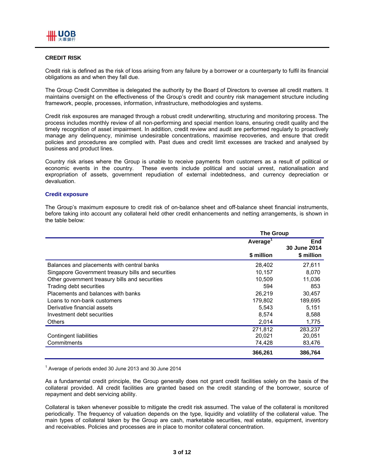#### **CREDIT RISK**

Credit risk is defined as the risk of loss arising from any failure by a borrower or a counterparty to fulfil its financial obligations as and when they fall due.

The Group Credit Committee is delegated the authority by the Board of Directors to oversee all credit matters. It maintains oversight on the effectiveness of the Group's credit and country risk management structure including framework, people, processes, information, infrastructure, methodologies and systems.

Credit risk exposures are managed through a robust credit underwriting, structuring and monitoring process. The process includes monthly review of all non-performing and special mention loans, ensuring credit quality and the timely recognition of asset impairment. In addition, credit review and audit are performed regularly to proactively manage any delinquency, minimise undesirable concentrations, maximise recoveries, and ensure that credit policies and procedures are complied with. Past dues and credit limit excesses are tracked and analysed by business and product lines.

Country risk arises where the Group is unable to receive payments from customers as a result of political or economic events in the country. These events include political and social unrest, nationalisation and expropriation of assets, government repudiation of external indebtedness, and currency depreciation or devaluation.

#### **Credit exposure**

The Group's maximum exposure to credit risk of on-balance sheet and off-balance sheet financial instruments, before taking into account any collateral held other credit enhancements and netting arrangements, is shown in the table below:

|                                                    | <b>The Group</b>     |                            |  |
|----------------------------------------------------|----------------------|----------------------------|--|
|                                                    | Average <sup>1</sup> | <b>End</b><br>30 June 2014 |  |
|                                                    | \$ million           | \$ million                 |  |
| Balances and placements with central banks         | 28,402               | 27,611                     |  |
| Singapore Government treasury bills and securities | 10,157               | 8,070                      |  |
| Other government treasury bills and securities     | 10,509               | 11,036                     |  |
| Trading debt securities                            | 594                  | 853                        |  |
| Placements and balances with banks                 | 26.219               | 30.457                     |  |
| Loans to non-bank customers                        | 179,802              | 189,695                    |  |
| Derivative financial assets                        | 5.543                | 5.151                      |  |
| Investment debt securities                         | 8,574                | 8,588                      |  |
| <b>Others</b>                                      | 2,014                | 1,775                      |  |
|                                                    | 271,812              | 283,237                    |  |
| Contingent liabilities                             | 20,021               | 20,051                     |  |
| Commitments                                        | 74,428               | 83,476                     |  |
|                                                    | 366,261              | 386,764                    |  |

<sup>1</sup> Average of periods ended 30 June 2013 and 30 June 2014

As a fundamental credit principle, the Group generally does not grant credit facilities solely on the basis of the collateral provided. All credit facilities are granted based on the credit standing of the borrower, source of repayment and debt servicing ability.

Collateral is taken whenever possible to mitigate the credit risk assumed. The value of the collateral is monitored periodically. The frequency of valuation depends on the type, liquidity and volatility of the collateral value. The main types of collateral taken by the Group are cash, marketable securities, real estate, equipment, inventory and receivables. Policies and processes are in place to monitor collateral concentration.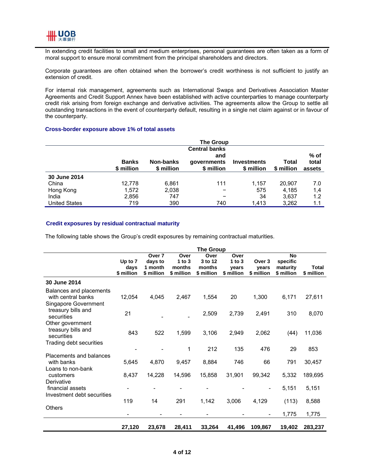

In extending credit facilities to small and medium enterprises, personal guarantees are often taken as a form of moral support to ensure moral commitment from the principal shareholders and directors.

Corporate guarantees are often obtained when the borrower's credit worthiness is not sufficient to justify an extension of credit.

For internal risk management, agreements such as International Swaps and Derivatives Association Master Agreements and Credit Support Annex have been established with active counterparties to manage counterparty credit risk arising from foreign exchange and derivative activities. The agreements allow the Group to settle all outstanding transactions in the event of counterparty default, resulting in a single net claim against or in favour of the counterparty.

#### **Cross-border exposure above 1% of total assets**

|                      | <b>The Group</b>           |                         |                                  |                                  |                     |                         |
|----------------------|----------------------------|-------------------------|----------------------------------|----------------------------------|---------------------|-------------------------|
|                      |                            |                         | <b>Central banks</b>             |                                  |                     |                         |
|                      | <b>Banks</b><br>\$ million | Non-banks<br>\$ million | and<br>qovernments<br>\$ million | <b>Investments</b><br>\$ million | Total<br>\$ million | % of<br>total<br>assets |
| 30 June 2014         |                            |                         |                                  |                                  |                     |                         |
| China                | 12.778                     | 6,861                   | 111                              | 1.157                            | 20,907              | 7.0                     |
| Hong Kong            | 1,572                      | 2,038                   |                                  | 575                              | 4,185               | 1,4                     |
| India                | 2,856                      | 747                     |                                  | 34                               | 3,637               | 1.2                     |
| <b>United States</b> | 719                        | 390                     | 740                              | 1,413                            | 3,262               | 1.1                     |

#### **Credit exposures by residual contractual maturity**

The following table shows the Group's credit exposures by remaining contractual maturities.

|                                 | <b>The Group</b> |                    |                    |                   |                   |                          |                      |              |
|---------------------------------|------------------|--------------------|--------------------|-------------------|-------------------|--------------------------|----------------------|--------------|
|                                 |                  | Over 7             | Over               | Over              | Over              |                          | <b>No</b>            |              |
|                                 | Up to 7<br>days  | days to<br>1 month | 1 to $3$<br>months | 3 to 12<br>months | 1 to $3$<br>vears | Over 3<br>years          | specific<br>maturity | <b>Total</b> |
|                                 | \$ million       | \$ million         | \$ million         | \$ million        | \$ million        | \$ million               | \$ million           | \$ million   |
| 30 June 2014                    |                  |                    |                    |                   |                   |                          |                      |              |
| Balances and placements         |                  |                    |                    |                   |                   |                          |                      |              |
| with central banks              | 12,054           | 4,045              | 2,467              | 1,554             | 20                | 1,300                    | 6,171                | 27,611       |
| Singapore Government            |                  |                    |                    |                   |                   |                          |                      |              |
| treasury bills and              | 21               |                    |                    | 2,509             | 2,739             | 2,491                    | 310                  | 8,070        |
| securities<br>Other government  |                  |                    |                    |                   |                   |                          |                      |              |
| treasury bills and              |                  |                    |                    |                   |                   |                          |                      |              |
| securities                      | 843              | 522                | 1,599              | 3,106             | 2,949             | 2,062                    | (44)                 | 11,036       |
| Trading debt securities         |                  |                    |                    |                   |                   |                          |                      |              |
|                                 |                  |                    | 1                  | 212               | 135               | 476                      | 29                   | 853          |
| Placements and balances         |                  |                    |                    |                   |                   |                          |                      |              |
| with banks<br>Loans to non-bank | 5,645            | 4,870              | 9,457              | 8,884             | 746               | 66                       | 791                  | 30,457       |
| customers                       | 8,437            | 14,228             | 14,596             | 15,858            | 31,901            | 99,342                   | 5,332                | 189,695      |
| Derivative                      |                  |                    |                    |                   |                   |                          |                      |              |
| financial assets                |                  |                    |                    |                   |                   | $\overline{\phantom{a}}$ | 5,151                | 5,151        |
| Investment debt securities      |                  |                    |                    |                   |                   |                          |                      |              |
|                                 | 119              | 14                 | 291                | 1,142             | 3,006             | 4,129                    | (113)                | 8,588        |
| <b>Others</b>                   |                  |                    |                    |                   |                   |                          |                      |              |
|                                 |                  |                    |                    |                   |                   |                          | 1,775                | 1,775        |
|                                 | 27,120           | 23,678             | 28,411             | 33,264            | 41,496            | 109,867                  | 19,402               | 283,237      |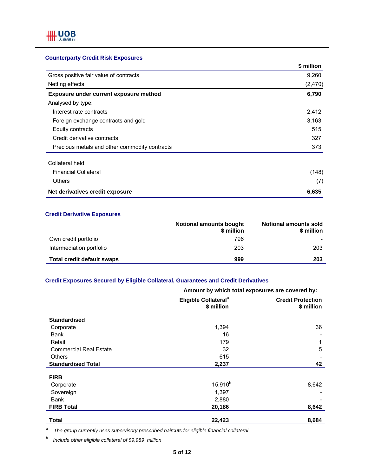## **Counterparty Credit Risk Exposures**

|                                               | \$ million |
|-----------------------------------------------|------------|
| Gross positive fair value of contracts        | 9,260      |
| Netting effects                               | (2,470)    |
| Exposure under current exposure method        | 6,790      |
| Analysed by type:                             |            |
| Interest rate contracts                       | 2,412      |
| Foreign exchange contracts and gold           | 3,163      |
| Equity contracts                              | 515        |
| Credit derivative contracts                   | 327        |
| Precious metals and other commodity contracts | 373        |
| Collateral held                               |            |
| <b>Financial Collateral</b>                   | (148)      |
| <b>Others</b>                                 | (7)        |
| Net derivatives credit exposure               | 6,635      |

#### **Credit Derivative Exposures**

|                            | <b>Notional amounts bought</b><br>\$ million | <b>Notional amounts sold</b><br>\$ million |
|----------------------------|----------------------------------------------|--------------------------------------------|
| Own credit portfolio       | 796                                          |                                            |
| Intermediation portfolio   | 203                                          | 203                                        |
| Total credit default swaps | 999                                          | 203                                        |

## **Credit Exposures Secured by Eligible Collateral, Guarantees and Credit Derivatives**

|                               | Amount by which total exposures are covered by: |                                        |  |
|-------------------------------|-------------------------------------------------|----------------------------------------|--|
|                               | Eligible Collateral <sup>a</sup><br>\$ million  | <b>Credit Protection</b><br>\$ million |  |
| <b>Standardised</b>           |                                                 |                                        |  |
| Corporate                     | 1,394                                           | 36                                     |  |
| Bank                          | 16                                              |                                        |  |
| Retail                        | 179                                             |                                        |  |
| <b>Commercial Real Estate</b> | 32                                              | 5                                      |  |
| <b>Others</b>                 | 615                                             |                                        |  |
| <b>Standardised Total</b>     | 2,237                                           | 42                                     |  |
| <b>FIRB</b>                   |                                                 |                                        |  |
| Corporate                     | 15,910 <sup>b</sup>                             | 8,642                                  |  |
| Sovereign                     | 1,397                                           |                                        |  |
| Bank                          | 2,880                                           |                                        |  |
| <b>FIRB Total</b>             | 20,186                                          | 8,642                                  |  |
| <b>Total</b>                  | 22,423                                          | 8,684                                  |  |

*a The group currently uses supervisory prescribed haircuts for eligible financial collateral* 

*b Include other eligible collateral of \$9,989 million*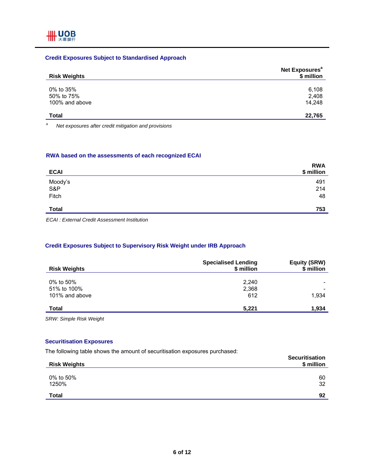## **Credit Exposures Subject to Standardised Approach**

| <b>Risk Weights</b>                       | Net Exposures <sup>a</sup><br>\$ million |
|-------------------------------------------|------------------------------------------|
| 0% to 35%<br>50% to 75%<br>100% and above | 6,108<br>2,408<br>14.248                 |
| <b>Total</b>                              | 22,765                                   |

*a Net exposures after credit mitigation and provisions* 

#### **RWA based on the assessments of each recognized ECAI**

| <b>ECAI</b>    | <b>RWA</b><br>\$ million |
|----------------|--------------------------|
| Moody's<br>S&P | 491                      |
| Fitch          | 214<br>48                |
| <b>Total</b>   | 753                      |

*ECAI : External Credit Assessment Institution* 

## **Credit Exposures Subject to Supervisory Risk Weight under IRB Approach**

| <b>Risk Weights</b>                        | <b>Specialised Lending</b><br>\$ million | <b>Equity (SRW)</b><br>\$ million |
|--------------------------------------------|------------------------------------------|-----------------------------------|
| 0% to 50%<br>51% to 100%<br>101% and above | 2,240<br>2,368<br>612                    | 1.934                             |
| <b>Total</b>                               | 5,221                                    | 1,934                             |

*SRW: Simple Risk Weight* 

## **Securitisation Exposures**

The following table shows the amount of securitisation exposures purchased:

| <b>Risk Weights</b> | <b>Securitisation</b><br>\$ million |
|---------------------|-------------------------------------|
| 0% to 50%<br>1250%  | 60<br>32                            |
| <b>Total</b>        | 92                                  |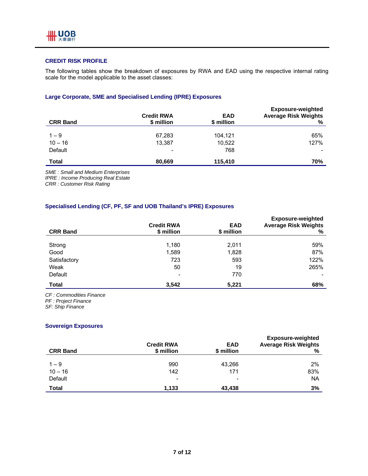

## **CREDIT RISK PROFILE**

The following tables show the breakdown of exposures by RWA and EAD using the respective internal rating scale for the model applicable to the asset classes:

## **Large Corporate, SME and Specialised Lending (IPRE) Exposures**

| <b>CRR Band</b> | <b>Credit RWA</b><br>\$ million | <b>EAD</b><br>\$ million | <b>Exposure-weighted</b><br><b>Average Risk Weights</b><br>% |
|-----------------|---------------------------------|--------------------------|--------------------------------------------------------------|
| $1 - 9$         | 67,283                          | 104,121                  | 65%                                                          |
| $10 - 16$       | 13,387                          | 10,522                   | 127%                                                         |
| Default         | $\overline{\phantom{0}}$        | 768                      |                                                              |
| <b>Total</b>    | 80,669                          | 115,410                  | 70%                                                          |

*SME : Small and Medium Enterprises* 

*IPRE : Income Producing Real Estate* 

*CRR : Customer Risk Rating* 

## **Specialised Lending (CF, PF, SF and UOB Thailand's IPRE) Exposures**

| <b>CRR Band</b> | <b>Credit RWA</b><br>\$ million | <b>EAD</b><br>\$ million | <b>Exposure-weighted</b><br><b>Average Risk Weights</b><br>% |
|-----------------|---------------------------------|--------------------------|--------------------------------------------------------------|
| Strong          | 1,180                           | 2,011                    | 59%                                                          |
| Good            | 1,589                           | 1,828                    | 87%                                                          |
| Satisfactory    | 723                             | 593                      | 122%                                                         |
| Weak            | 50                              | 19                       | 265%                                                         |
| Default         | $\overline{\phantom{a}}$        | 770                      |                                                              |
| <b>Total</b>    | 3,542                           | 5,221                    | 68%                                                          |

*CF : Commodities Finance* 

*PF : Project Finance* 

*SF: Ship Finance* 

#### **Sovereign Exposures**

| <b>CRR Band</b> | <b>Credit RWA</b><br>\$ million | <b>EAD</b><br>\$ million | <b>Exposure-weighted</b><br><b>Average Risk Weights</b><br>% |
|-----------------|---------------------------------|--------------------------|--------------------------------------------------------------|
|                 |                                 |                          |                                                              |
| $1 - 9$         | 990                             | 43,266                   | 2%                                                           |
| $10 - 16$       | 142                             | 171                      | 83%                                                          |
| Default         | $\overline{\phantom{a}}$        | -                        | <b>NA</b>                                                    |
| <b>Total</b>    | 1,133                           | 43,438                   | 3%                                                           |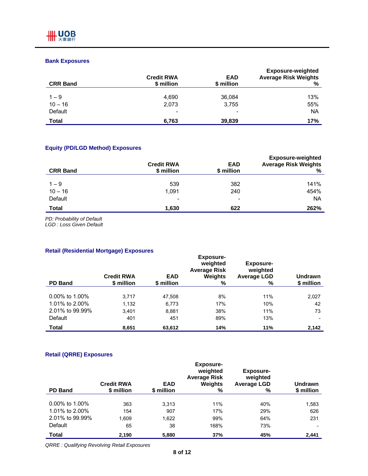## **Bank Exposures**

| <b>CRR Band</b> | <b>Credit RWA</b><br>\$ million | <b>EAD</b><br>\$ million | <b>Exposure-weighted</b><br><b>Average Risk Weights</b><br>% |
|-----------------|---------------------------------|--------------------------|--------------------------------------------------------------|
|                 |                                 |                          | 13%                                                          |
| $1 - 9$         | 4,690                           | 36,084                   |                                                              |
| $10 - 16$       | 2.073                           | 3,755                    | 55%                                                          |
| Default         | $\overline{\phantom{a}}$        | $\overline{\phantom{a}}$ | <b>NA</b>                                                    |
| Total           | 6,763                           | 39,839                   | 17%                                                          |

## **Equity (PD/LGD Method) Exposures**

| <b>CRR Band</b> | <b>Credit RWA</b><br>\$ million | <b>EAD</b><br>\$ million | <b>Exposure-weighted</b><br><b>Average Risk Weights</b><br>% |
|-----------------|---------------------------------|--------------------------|--------------------------------------------------------------|
| $1 - 9$         | 539                             | 382                      | 141%                                                         |
| $10 - 16$       | 1.091                           | 240                      | 454%                                                         |
| Default         | -                               |                          | <b>NA</b>                                                    |
| <b>Total</b>    | 1,630                           | 622                      | 262%                                                         |

*PD: Probability of Default* 

*LGD : Loss Given Default* 

## **Retail (Residential Mortgage) Exposures**

| <b>PD Band</b>    | <b>Credit RWA</b><br>\$ million | <b>EAD</b><br>\$ million | <b>Exposure-</b><br>weighted<br><b>Average Risk</b><br>Weights<br>% | <b>Exposure-</b><br>weighted<br><b>Average LGD</b><br>% | Undrawn<br>\$ million |
|-------------------|---------------------------------|--------------------------|---------------------------------------------------------------------|---------------------------------------------------------|-----------------------|
|                   |                                 |                          |                                                                     |                                                         |                       |
| $0.00\%$ to 1.00% | 3,717                           | 47,508                   | 8%                                                                  | 11%                                                     | 2,027                 |
| 1.01% to 2.00%    | 1,132                           | 6,773                    | 17%                                                                 | 10%                                                     | 42                    |
| 2.01% to 99.99%   | 3,401                           | 8,881                    | 38%                                                                 | 11%                                                     | 73                    |
| Default           | 401                             | 451                      | 89%                                                                 | 13%                                                     |                       |
| Total             | 8,651                           | 63,612                   | 14%                                                                 | 11%                                                     | 2,142                 |

## **Retail (QRRE) Exposures**

| <b>PD Band</b>    | <b>Credit RWA</b><br>\$ million | <b>EAD</b><br>\$ million | <b>Exposure-</b><br>weighted<br><b>Average Risk</b><br><b>Weights</b><br>% | <b>Exposure-</b><br>weighted<br><b>Average LGD</b><br>% | Undrawn<br>\$ million |
|-------------------|---------------------------------|--------------------------|----------------------------------------------------------------------------|---------------------------------------------------------|-----------------------|
|                   |                                 |                          |                                                                            |                                                         |                       |
| $0.00\%$ to 1.00% | 363                             | 3,313                    | 11%                                                                        | 40%                                                     | 1,583                 |
| 1.01% to 2.00%    | 154                             | 907                      | 17%                                                                        | 29%                                                     | 626                   |
| 2.01% to 99.99%   | 1,609                           | 1,622                    | 99%                                                                        | 64%                                                     | 231                   |
| Default           | 65                              | 38                       | 168%                                                                       | 73%                                                     |                       |
| Total             | 2,190                           | 5,880                    | 37%                                                                        | 45%                                                     | 2,441                 |

*QRRE : Qualifying Revolving Retail Exposures*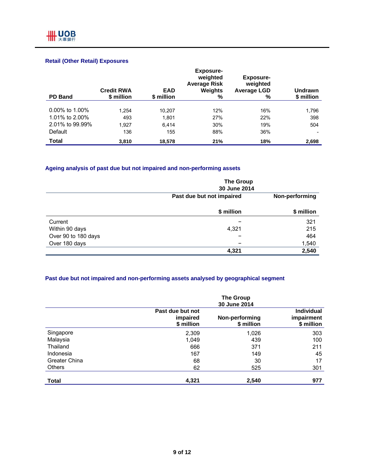## **Retail (Other Retail) Exposures**

| <b>PD Band</b>    | <b>Credit RWA</b><br>\$ million | <b>EAD</b><br>\$ million | <b>Exposure-</b><br>weighted<br><b>Average Risk</b><br>Weights<br>% | <b>Exposure-</b><br>weighted<br><b>Average LGD</b><br>% | Undrawn<br>\$ million |
|-------------------|---------------------------------|--------------------------|---------------------------------------------------------------------|---------------------------------------------------------|-----------------------|
|                   |                                 |                          |                                                                     |                                                         |                       |
| $0.00\%$ to 1.00% | 1.254                           | 10.207                   | 12%                                                                 | 16%                                                     | 1,796                 |
| 1.01% to 2.00%    | 493                             | 1,801                    | 27%                                                                 | 22%                                                     | 398                   |
| 2.01% to 99.99%   | 1.927                           | 6.414                    | 30%                                                                 | 19%                                                     | 504                   |
| Default           | 136                             | 155                      | 88%                                                                 | 36%                                                     |                       |
| <b>Total</b>      | 3,810                           | 18,578                   | 21%                                                                 | 18%                                                     | 2,698                 |

## **Ageing analysis of past due but not impaired and non-performing assets**

|                     | <b>The Group</b><br>30 June 2014 |                |
|---------------------|----------------------------------|----------------|
|                     | Past due but not impaired        | Non-performing |
|                     | \$ million                       | \$ million     |
| Current             |                                  | 321            |
| Within 90 days      | 4,321                            | 215            |
| Over 90 to 180 days |                                  | 464            |
| Over 180 days       |                                  | 1,540          |
|                     | 4,321                            | 2,540          |

## **Past due but not impaired and non-performing assets analysed by geographical segment**

|               |                                            | <b>The Group</b><br>30 June 2014 |                                               |
|---------------|--------------------------------------------|----------------------------------|-----------------------------------------------|
|               | Past due but not<br>impaired<br>\$ million | Non-performing<br>\$ million     | <b>Individual</b><br>impairment<br>\$ million |
| Singapore     | 2,309                                      | 1,026                            | 303                                           |
| Malaysia      | 1,049                                      | 439                              | 100                                           |
| Thailand      | 666                                        | 371                              | 211                                           |
| Indonesia     | 167                                        | 149                              | 45                                            |
| Greater China | 68                                         | 30                               | 17                                            |
| <b>Others</b> | 62                                         | 525                              | 301                                           |
| <b>Total</b>  | 4,321                                      | 2,540                            | 977                                           |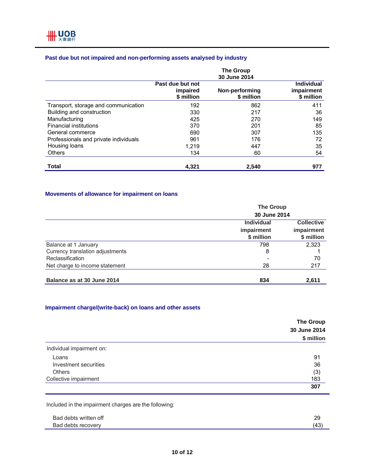## **Past due but not impaired and non-performing assets analysed by industry**

|                                       |                                            | <b>The Group</b><br>30 June 2014 |                                               |
|---------------------------------------|--------------------------------------------|----------------------------------|-----------------------------------------------|
|                                       | Past due but not<br>impaired<br>\$ million | Non-performing<br>\$ million     | <b>Individual</b><br>impairment<br>\$ million |
| Transport, storage and communication  | 192                                        | 862                              | 411                                           |
| Building and construction             | 330                                        | 217                              | 36                                            |
| Manufacturing                         | 425                                        | 270                              | 149                                           |
| <b>Financial institutions</b>         | 370                                        | 201                              | 85                                            |
| General commerce                      | 690                                        | 307                              | 135                                           |
| Professionals and private individuals | 961                                        | 176                              | 72                                            |
| Housing loans                         | 1,219                                      | 447                              | 35                                            |
| <b>Others</b>                         | 134                                        | 60                               | 54                                            |
| Total                                 | 4,321                                      | 2.540                            | 977                                           |

## **Movements of allowance for impairment on loans**

|                                  | <b>The Group</b>  |                   |  |
|----------------------------------|-------------------|-------------------|--|
|                                  | 30 June 2014      |                   |  |
|                                  | <b>Individual</b> | <b>Collective</b> |  |
|                                  | impairment        | impairment        |  |
|                                  | \$ million        | \$ million        |  |
| Balance at 1 January             | 798               | 2,323             |  |
| Currency translation adjustments | 8                 |                   |  |
| Reclassification                 |                   | 70                |  |
| Net charge to income statement   | 28                | 217               |  |
| Balance as at 30 June 2014       | 834               | 2,611             |  |

## **Impairment charge/(write-back) on loans and other assets**

|                           | <b>The Group</b> |
|---------------------------|------------------|
|                           | 30 June 2014     |
|                           | \$ million       |
| Individual impairment on: |                  |
| Loans                     | 91               |
| Investment securities     | 36               |
| <b>Others</b>             | (3)              |
| Collective impairment     | 183              |
|                           | 307              |

Included in the impairment charges are the following:

| Bad debts written off | つく<br>∠ວ |
|-----------------------|----------|
| Bad debts recovery    | ∽        |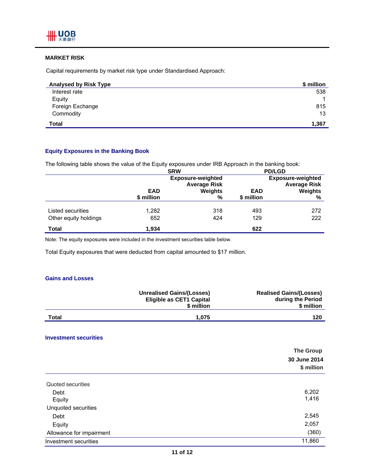

## **MARKET RISK**

Capital requirements by market risk type under Standardised Approach:

| <b>Analysed by Risk Type</b> | \$ million |
|------------------------------|------------|
| Interest rate                | 538        |
| Equity                       |            |
| Foreign Exchange             | 815        |
| Commodity                    | 13         |
| <b>Total</b>                 | 1,367      |

#### **Equity Exposures in the Banking Book**

The following table shows the value of the Equity exposures under IRB Approach in the banking book:

|                       | <b>SRW</b> |                                                                   | <b>PD/LGD</b> |                                                                   |
|-----------------------|------------|-------------------------------------------------------------------|---------------|-------------------------------------------------------------------|
|                       | <b>EAD</b> | <b>Exposure-weighted</b><br><b>Average Risk</b><br><b>Weights</b> | <b>EAD</b>    | <b>Exposure-weighted</b><br><b>Average Risk</b><br><b>Weights</b> |
|                       | \$ million | %                                                                 | \$ million    | %                                                                 |
| Listed securities     | 1,282      | 318                                                               | 493           | 272                                                               |
| Other equity holdings | 652        | 424                                                               | 129           | 222                                                               |
| Total                 | 1.934      |                                                                   | 622           |                                                                   |

Note: The equity exposures were included in the investment securities table below.

Total Equity exposures that were deducted from capital amounted to \$17 million.

#### **Gains and Losses**

|       | <b>Unrealised Gains/(Losses)</b><br><b>Eligible as CET1 Capital</b><br>\$ million | <b>Realised Gains/(Losses)</b><br>during the Period<br>\$ million |
|-------|-----------------------------------------------------------------------------------|-------------------------------------------------------------------|
| Total | 1.075                                                                             | 120                                                               |

#### **Investment securities**

|                          | <b>The Group</b> |
|--------------------------|------------------|
|                          | 30 June 2014     |
|                          | \$ million       |
| Quoted securities        |                  |
| Debt                     | 6,202            |
| Equity                   | 1,416            |
| Unquoted securities      |                  |
| Debt                     | 2,545            |
| Equity                   | 2,057            |
| Allowance for impairment | (360)            |
| Investment securities    | 11,860           |